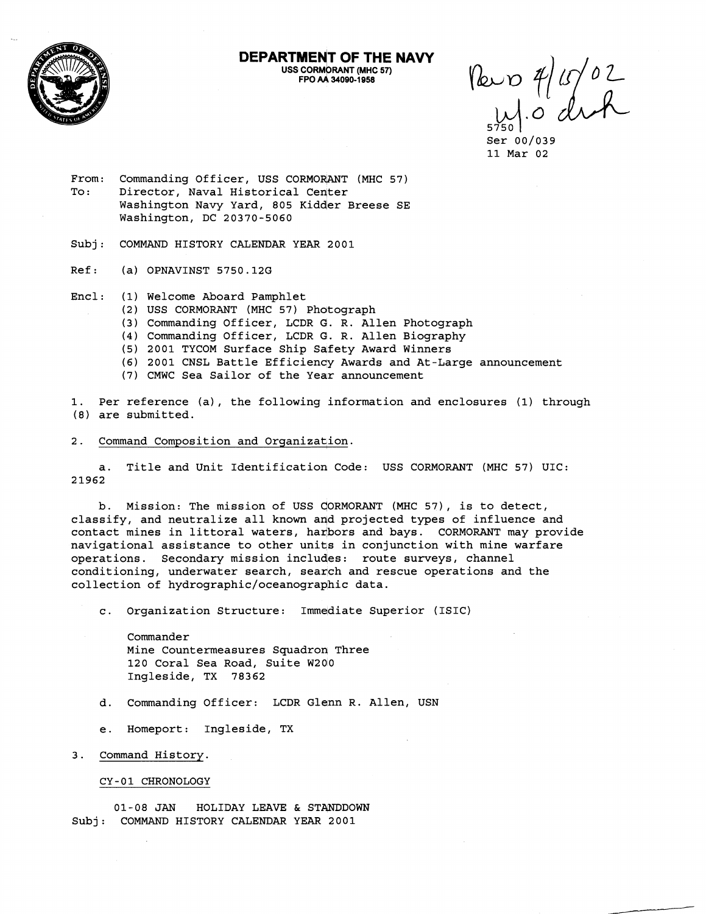

**DEPARTMENT OF THE NAVY USS CORMORANT (MHC 57) FPO AA 34090-1958** 

Pero 4/15/02

Ser 00/039 11 Mar 02

- From: Commanding Officer, USS CORMORANT (MHC 57) To: Director, Naval Historical Center Washington Navy Yard, 805 Kidder Breese SE Washington, DC 20370-5060
- Subj: COMMAND HISTORY CALENDAR YEAR 2001
- Ref: (a) OPNAVINST 5750.12G
- Encl: (1) Welcome Aboard Pamphlet
	- (2) USS CORMORANT (MHC 57) Photograph
	- (3) Commanding Officer, LCDR **O.** R. Allen Photograph
	- (4) Commanding Officer, LCDR **O.** R. Allen Biography
	- (5) 2001 TYCOM Surface Ship Safety Award Winners
	- (6) 2001 CNSL Battle Efficiency Awards and At-Large announcement
	- (7) CMWC Sea Sailor of the Year announcement

1. Per reference (a), the following information and enclosures (1) through (8) are submitted.

## 2. Command Composition and Organization.

a. Title and Unit Identification Code: USS CORMORANT (MHC 57) UIC: 21962

b. Mission: The mission of USS CORMORANT (MHC 57), is to detect, classify, and neutralize all known and projected types of influence and contact mines in littoral waters, harbors and bays. CORMORANT may provide navigational assistance to other units in conjunction with mine warfare operations. Secondary mission includes: route surveys, channel conditioning, underwater search, search and rescue operations and the collection of **hydrographic/oceanographic** data.

c. Organization Structure: Immediate Superior (ISIC)

Commander Mine Countermeasures Squadron Three 120 Coral Sea Road, Suite W200 Ingleside, TX 78362

- d. Commanding Officer: LCDR Glenn R. Allen, USN
- e. Homeport: Ingleside, TX
- 3. Command History

CY-01 CHRONOLOGY

01-08 JAN HOLIDAY LEAVE & STANDDOWN Subj: COMMAND HISTORY CALENDAR YEAR 2001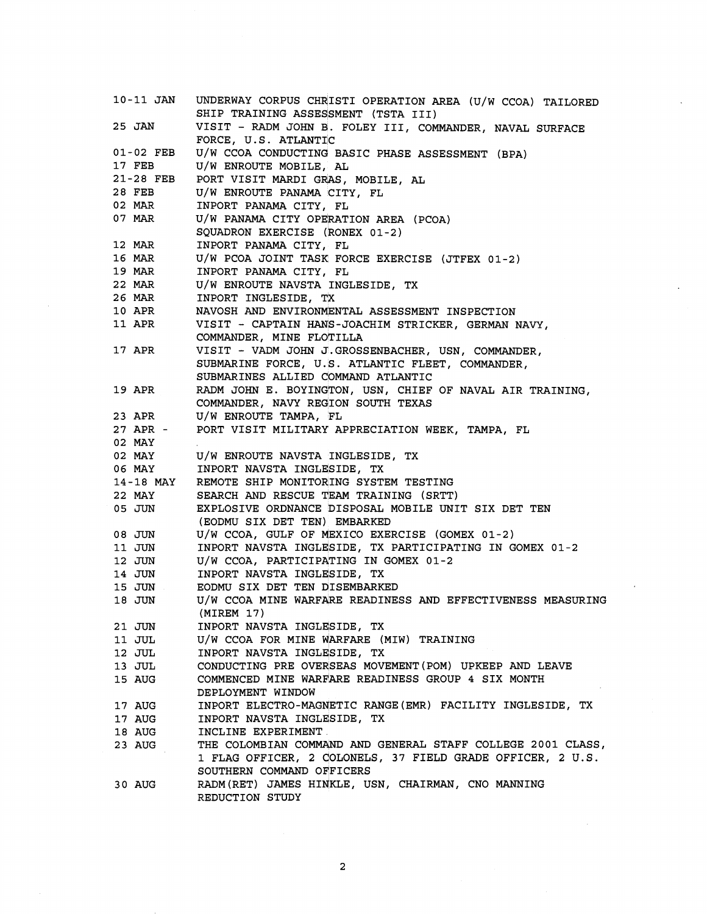| 10-11 JAN     | UNDERWAY CORPUS CHRISTI OPERATION AREA (U/W CCOA) TAILORED  |
|---------------|-------------------------------------------------------------|
|               | SHIP TRAINING ASSESSMENT (TSTA III)                         |
| 25 JAN        | VISIT - RADM JOHN B. FOLEY III, COMMANDER, NAVAL SURFACE    |
|               | FORCE, U.S. ATLANTIC                                        |
| 01-02 FEB     | U/W CCOA CONDUCTING BASIC PHASE ASSESSMENT (BPA)            |
| 17 FEB        | U/W ENROUTE MOBILE, AL                                      |
| 21-28 FEB     | PORT VISIT MARDI GRAS, MOBILE, AL                           |
| 28 FEB        | U/W ENROUTE PANAMA CITY, FL                                 |
| 02 MAR        | INPORT PANAMA CITY, FL                                      |
| 07 MAR        | U/W PANAMA CITY OPERATION AREA (PCOA)                       |
|               | SQUADRON EXERCISE (RONEX 01-2)                              |
| 12 MAR        | INPORT PANAMA CITY, FL                                      |
| 16 MAR        | U/W PCOA JOINT TASK FORCE EXERCISE (JTFEX 01-2)             |
| 19 MAR        | INPORT PANAMA CITY, FL                                      |
| 22 MAR        | U/W ENROUTE NAVSTA INGLESIDE, TX                            |
| 26 MAR        | INPORT INGLESIDE, TX                                        |
| 10 APR        | NAVOSH AND ENVIRONMENTAL ASSESSMENT INSPECTION              |
| 11 APR        | VISIT - CAPTAIN HANS-JOACHIM STRICKER, GERMAN NAVY,         |
|               | COMMANDER, MINE FLOTILLA                                    |
| 17 APR        | VISIT - VADM JOHN J.GROSSENBACHER, USN, COMMANDER,          |
|               | SUBMARINE FORCE, U.S. ATLANTIC FLEET, COMMANDER,            |
|               | SUBMARINES ALLIED COMMAND ATLANTIC                          |
| <b>19 APR</b> | RADM JOHN E. BOYINGTON, USN, CHIEF OF NAVAL AIR TRAINING,   |
|               | COMMANDER, NAVY REGION SOUTH TEXAS                          |
| 23 APR        | U/W ENROUTE TAMPA, FL                                       |
| 27 APR -      | PORT VISIT MILITARY APPRECIATION WEEK, TAMPA, FL            |
| 02 MAY        |                                                             |
| 02 MAY        | U/W ENROUTE NAVSTA INGLESIDE, TX                            |
| 06 MAY        | INPORT NAVSTA INGLESIDE, TX                                 |
| 14-18 MAY     | REMOTE SHIP MONITORING SYSTEM TESTING                       |
| 22 MAY        | SEARCH AND RESCUE TEAM TRAINING (SRTT)                      |
| 05 JUN        | EXPLOSIVE ORDNANCE DISPOSAL MOBILE UNIT SIX DET TEN         |
|               | (EODMU SIX DET TEN) EMBARKED                                |
| 08 JUN        | U/W CCOA, GULF OF MEXICO EXERCISE (GOMEX 01-2)              |
| 11 JUN        | INPORT NAVSTA INGLESIDE, TX PARTICIPATING IN GOMEX 01-2     |
| 12 JUN        | U/W CCOA, PARTICIPATING IN GOMEX 01-2                       |
| 14 JUN        | INPORT NAVSTA INGLESIDE, TX                                 |
| 15 JUN        | EODMU SIX DET TEN DISEMBARKED                               |
| 18 JUN        | U/W CCOA MINE WARFARE READINESS AND EFFECTIVENESS MEASURING |
|               | (MIREM 17)                                                  |
|               | INPORT NAVSTA INGLESIDE, TX                                 |
| 21 JUN        | U/W CCOA FOR MINE WARFARE (MIW) TRAINING                    |
| 11 JUL        | INPORT NAVSTA INGLESIDE, TX                                 |
| 12 JUL        |                                                             |
| 13 JUL        | CONDUCTING PRE OVERSEAS MOVEMENT (POM) UPKEEP AND LEAVE     |
| 15 AUG        | COMMENCED MINE WARFARE READINESS GROUP 4 SIX MONTH          |
|               | DEPLOYMENT WINDOW                                           |
| 17 AUG        | INPORT ELECTRO-MAGNETIC RANGE (EMR) FACILITY INGLESIDE, TX  |
| 17 AUG        | INPORT NAVSTA INGLESIDE, TX                                 |
| 18 AUG        | INCLINE EXPERIMENT.                                         |
| 23 AUG        | THE COLOMBIAN COMMAND AND GENERAL STAFF COLLEGE 2001 CLASS, |
|               | 1 FLAG OFFICER, 2 COLONELS, 37 FIELD GRADE OFFICER, 2 U.S.  |
|               | SOUTHERN COMMAND OFFICERS                                   |
| 30 AUG        | RADM (RET) JAMES HINKLE, USN, CHAIRMAN, CNO MANNING         |
|               | REDUCTION STUDY                                             |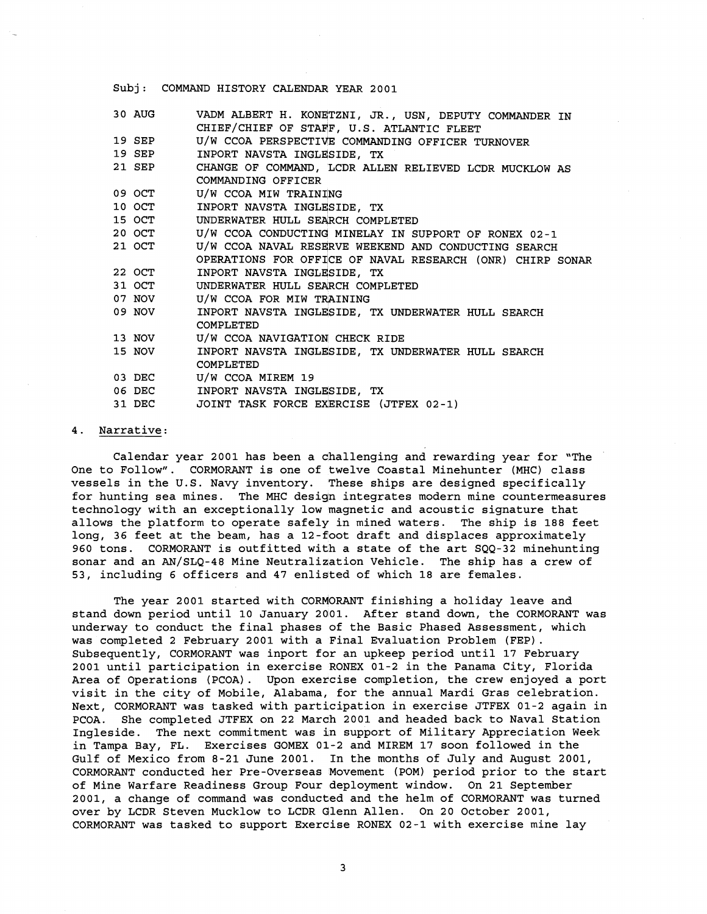## Subj: COMMAND HISTORY CALENDAR YEAR 2001

| 30 AUG | VADM ALBERT H. KONETZNI, JR., USN, DEPUTY COMMANDER IN    |
|--------|-----------------------------------------------------------|
|        | CHIEF/CHIEF OF STAFF, U.S. ATLANTIC FLEET                 |
| 19 SEP | U/W CCOA PERSPECTIVE COMMANDING OFFICER TURNOVER          |
| 19 SEP | INPORT NAVSTA INGLESIDE, TX                               |
| 21 SEP | CHANGE OF COMMAND, LCDR ALLEN RELIEVED LCDR MUCKLOW AS    |
|        | COMMANDING OFFICER                                        |
| 09 OCT | U/W CCOA MIW TRAINING                                     |
| 10 OCT | INPORT NAVSTA INGLESIDE, TX                               |
|        | 15 OCT UNDERWATER HULL SEARCH COMPLETED                   |
| 20 OCT | U/W CCOA CONDUCTING MINELAY IN SUPPORT OF RONEX 02-1      |
| 21 OCT | U/W CCOA NAVAL RESERVE WEEKEND AND CONDUCTING SEARCH      |
|        | OPERATIONS FOR OFFICE OF NAVAL RESEARCH (ONR) CHIRP SONAR |
| 22 OCT | INPORT NAVSTA INGLESIDE, TX                               |
| 31 OCT | UNDERWATER HULL SEARCH COMPLETED                          |
| 07 NOV | U/W CCOA FOR MIW TRAINING                                 |
| 09 NOV | INPORT NAVSTA INGLESIDE, TX UNDERWATER HULL SEARCH        |
|        | COMPLETED                                                 |
| 13 NOV | U/W CCOA NAVIGATION CHECK RIDE                            |
| 15 NOV | INPORT NAVSTA INGLESIDE, TX UNDERWATER HULL SEARCH        |
|        | COMPLETED                                                 |
| 03 DEC | U/W CCOA MIREM 19                                         |
|        | 06 DEC INPORT NAVSTA INGLESIDE, TX                        |
| 31 DEC | JOINT TASK FORCE EXERCISE (JTFEX 02-1)                    |

## 4. Narrative:

Calendar year 2001 has been a dhallenging and rewarding year for "The One to Follow". CORMORANT is one of twelve Coastal Minehunter (MHC) class vessels in the U.S. Navy inventory. These ships are designed specifically for hunting sea mines. The MHC design integrates modern mine countermeasures technology with an exceptionally low magnetic and acoustic signature that allows the platform to operate safely in mined waters. The ship is 188 feet long, 36 feet at the beam, has a 12-foot draft and displaces approximately 960 tons. CORMORANT is outfitted with a state of the art SQQ-32 minehunting sonar and an AN/SLQ-48 Mine Neutralization Vehicle. The ship has a crew of 53, including 6 officers and 47 enlisted of which 18 are females.

The year 2001 started with CORMORANT finishing a holiday leave and stand down period until 10 January 2001. After stand down, the CORMORANT was underway to conduct the final phases of the Basic Phased Assessment, which was completed 2 February 2001 with a Final Evaluation Problem (FEP) . Subsequently, CORMORANT was inport for an upkeep period until 17 February 2001 until participation in exercise RONEX 01-2 in the Panama City, Florida Area of Operations (PCOA) . Upon exercise completion, the crew enjoyed a port visit in the city of Mobile, Alabama, for the annual Mardi Gras celebration. Next, CORMORANT was tasked with participation in exercise JTFEX 01-2 again in PCOA. She completed JTFEX on 22 March 2001 and headed back to Naval Station Ingleside. The next commitment was in support of Military Appreciation Week in Tampa Bay, FL. Exercises GOMEX 01-2 and MIREM 17 soon followed in the Gulf of Mexico from 8-21 June 2001. In the months of July and August 2001, CORMORANT conducted her Pre-Overseas Movement (POM) period prior to the start of Mine Warfare Readiness Group Four deployment window. On 21 September 2001, a change of command was conducted and the helm of CORMORANT was turned over by LCDR Steven Mucklow to LCDR qlenn Allen. On 20 October 2001, CORMORANT was tasked to support Exercise RONEX 02-1 with exercise mine lay